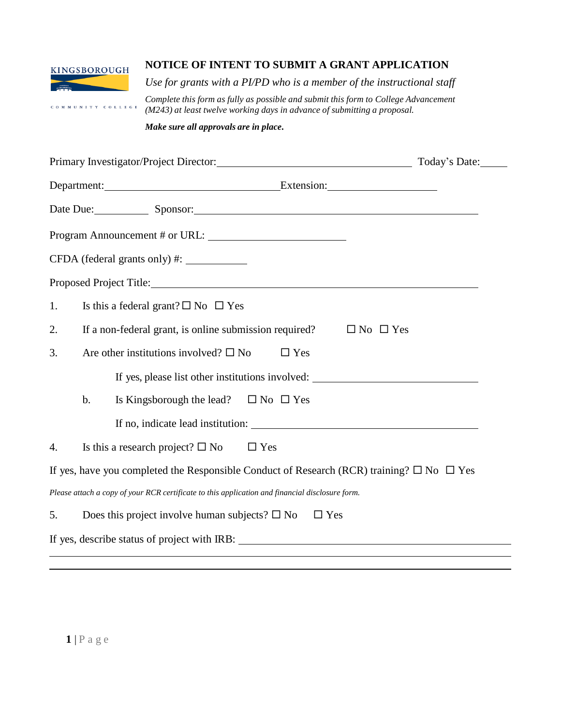

COMMUNITY COLLEGE

## **NOTICE OF INTENT TO SUBMIT A GRANT APPLICATION**

*Use for grants with a PI/PD who is a member of the instructional staff*

*Complete this form as fully as possible and submit this form to College Advancement (M243) at least twelve working days in advance of submitting a proposal.*

*Make sure all approvals are in place.*

|    |       | Today's Date:                                                                                                                                                                                                                  |  |
|----|-------|--------------------------------------------------------------------------------------------------------------------------------------------------------------------------------------------------------------------------------|--|
|    |       | Department: Extension: Extension:                                                                                                                                                                                              |  |
|    |       | Date Due: Sponsor: Sponsor:                                                                                                                                                                                                    |  |
|    |       |                                                                                                                                                                                                                                |  |
|    |       |                                                                                                                                                                                                                                |  |
|    |       | Proposed Project Title: No. 2014 19:30 No. 2014 19:30 No. 2014 19:30 No. 2014 19:30 No. 2014 19:30 No. 2014 19:30 No. 2014 19:30 No. 2014 19:30 No. 2014 19:30 No. 2014 19:30 No. 2014 19:30 No. 2014 19:30 No. 2014 19:30 No. |  |
| 1. |       | Is this a federal grant? $\square$ No $\square$ Yes                                                                                                                                                                            |  |
| 2. |       | If a non-federal grant, is online submission required?<br>$\Box$ No $\Box$ Yes                                                                                                                                                 |  |
| 3. |       | Are other institutions involved? $\square$ No<br>$\Box$ Yes                                                                                                                                                                    |  |
|    |       | If yes, please list other institutions involved:                                                                                                                                                                               |  |
|    | $b$ . | Is Kingsborough the lead? $\square$ No $\square$ Yes                                                                                                                                                                           |  |
|    |       |                                                                                                                                                                                                                                |  |
| 4. |       | Is this a research project? $\square$ No<br>$\Box$ Yes                                                                                                                                                                         |  |
|    |       | If yes, have you completed the Responsible Conduct of Research (RCR) training? $\square$ No $\square$ Yes                                                                                                                      |  |
|    |       | Please attach a copy of your RCR certificate to this application and financial disclosure form.                                                                                                                                |  |
| 5. |       | Does this project involve human subjects? $\square$ No<br>$\Box$ Yes                                                                                                                                                           |  |
|    |       | If yes, describe status of project with IRB:                                                                                                                                                                                   |  |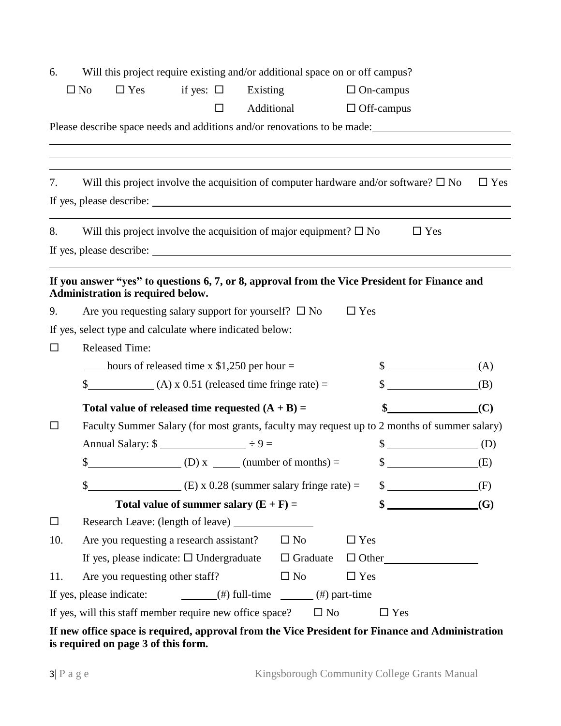| 6.     |                                   | Will this project require existing and/or additional space on or off campus?                 |                                   |                 |                                                                                               |            |
|--------|-----------------------------------|----------------------------------------------------------------------------------------------|-----------------------------------|-----------------|-----------------------------------------------------------------------------------------------|------------|
|        | $\Box$ Yes<br>$\square$ No        | if yes: $\square$                                                                            | Existing                          |                 | $\Box$ On-campus                                                                              |            |
|        |                                   | □                                                                                            | Additional                        |                 | $\Box$ Off-campus                                                                             |            |
|        |                                   |                                                                                              |                                   |                 | Please describe space needs and additions and/or renovations to be made:                      |            |
|        |                                   |                                                                                              |                                   |                 |                                                                                               |            |
|        |                                   |                                                                                              |                                   |                 |                                                                                               |            |
| 7.     |                                   |                                                                                              |                                   |                 | Will this project involve the acquisition of computer hardware and/or software? $\square$ No  | $\Box$ Yes |
|        |                                   |                                                                                              |                                   |                 |                                                                                               |            |
|        |                                   |                                                                                              |                                   |                 |                                                                                               |            |
| 8.     |                                   | Will this project involve the acquisition of major equipment? $\square$ No                   |                                   |                 | $\Box$ Yes                                                                                    |            |
|        |                                   |                                                                                              |                                   |                 |                                                                                               |            |
|        |                                   |                                                                                              |                                   |                 | If you answer "yes" to questions 6, 7, or 8, approval from the Vice President for Finance and |            |
|        | Administration is required below. |                                                                                              |                                   |                 |                                                                                               |            |
| 9.     |                                   | Are you requesting salary support for yourself? $\square$ No                                 |                                   |                 | $\Box$ Yes                                                                                    |            |
|        |                                   | If yes, select type and calculate where indicated below:                                     |                                   |                 |                                                                                               |            |
| $\Box$ | <b>Released Time:</b>             |                                                                                              |                                   |                 |                                                                                               |            |
|        |                                   | $\frac{1}{2}$ hours of released time x \$1,250 per hour =                                    |                                   |                 | $\S$ (A)                                                                                      |            |
|        |                                   | $\frac{1}{2}$ (A) x 0.51 (released time fringe rate) =                                       |                                   |                 | $\S$ (B)                                                                                      |            |
|        |                                   | Total value of released time requested $(A + B) =$                                           |                                   |                 | $\frac{1}{2}$                                                                                 | (C)        |
| □      |                                   |                                                                                              |                                   |                 | Faculty Summer Salary (for most grants, faculty may request up to 2 months of summer salary)  |            |
|        |                                   | Annual Salary: $\frac{1}{2}$ = $\frac{1}{2}$ = $\frac{1}{2}$ = $\frac{1}{2}$ = $\frac{1}{2}$ |                                   |                 | $\sqrt[3]{\phantom{a}(\mathrm{D})}$                                                           |            |
|        | $\frac{1}{2}$                     | $(D) x$ (D) months) =                                                                        |                                   |                 | $\textcircled{f}$ (E)                                                                         |            |
|        | \$                                | (E) x $0.28$ (summer salary fringe rate) =                                                   |                                   |                 | $\frac{1}{2}$                                                                                 | (F)        |
|        |                                   | Total value of summer salary $(E + F) =$                                                     |                                   |                 | $\frac{1}{2}$                                                                                 | (G)        |
| $\Box$ |                                   |                                                                                              |                                   |                 |                                                                                               |            |
| 10.    |                                   | Are you requesting a research assistant?                                                     |                                   | $\square$ No    | $\Box$ Yes                                                                                    |            |
|        |                                   | If yes, please indicate: $\square$ Undergraduate                                             |                                   | $\Box$ Graduate | $\Box$ Other                                                                                  |            |
| 11.    |                                   | Are you requesting other staff?                                                              |                                   | $\square$ No    | $\Box$ Yes                                                                                    |            |
|        |                                   |                                                                                              |                                   |                 |                                                                                               |            |
|        | If yes, please indicate:          |                                                                                              | $(\#)$ full-time $(\#)$ part-time |                 |                                                                                               |            |

## **If new office space is required, approval from the Vice President for Finance and Administration is required on page 3 of this form.**